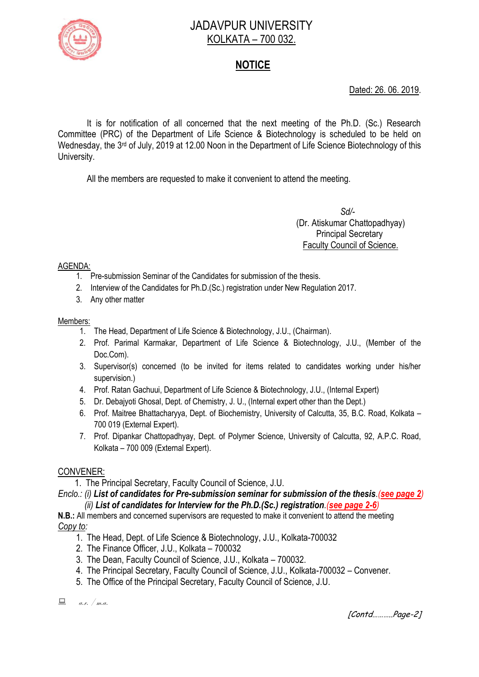

# JADAVPUR UNIVERSITY KOLKATA – 700 032.

# **NOTICE**

Dated: 26. 06. 2019.

It is for notification of all concerned that the next meeting of the Ph.D. (Sc.) Research Committee (PRC) of the Department of Life Science & Biotechnology is scheduled to be held on Wednesday, the 3<sup>rd</sup> of July, 2019 at 12.00 Noon in the Department of Life Science Biotechnology of this University.

All the members are requested to make it convenient to attend the meeting.

 *Sd/-*  (Dr. Atiskumar Chattopadhyay) Principal Secretary Faculty Council of Science.

### AGENDA:

- 1. Pre-submission Seminar of the Candidates for submission of the thesis.
- 2. Interview of the Candidates for Ph.D.(Sc.) registration under New Regulation 2017.
- 3. Any other matter

## Members:

- 1. The Head, Department of Life Science & Biotechnology, J.U., (Chairman).
- 2. Prof. Parimal Karmakar, Department of Life Science & Biotechnology, J.U., (Member of the Doc.Com).
- 3. Supervisor(s) concerned (to be invited for items related to candidates working under his/her supervision.)
- 4. Prof. Ratan Gachuui, Department of Life Science & Biotechnology, J.U., (Internal Expert)
- 5. Dr. Debajyoti Ghosal, Dept. of Chemistry, J. U., (Internal expert other than the Dept.)
- 6. Prof. Maitree Bhattacharyya, Dept. of Biochemistry, University of Calcutta, 35, B.C. Road, Kolkata 700 019 (External Expert).
- 7. Prof. Dipankar Chattopadhyay, Dept. of Polymer Science, University of Calcutta, 92, A.P.C. Road, Kolkata – 700 009 (External Expert).

## CONVENER:

1. The Principal Secretary, Faculty Council of Science, J.U.

## *Enclo.: (i) List of candidates for Pre-submission seminar for submission of the thesis.(see page 2) (ii) List of candidates for Interview for the Ph.D.(Sc.) registration.(see page 2-6)*

**N.B.:** All members and concerned supervisors are requested to make it convenient to attend the meeting *Copy to:* 

- 1. The Head, Dept. of Life Science & Biotechnology, J.U., Kolkata-700032
- 2. The Finance Officer, J.U., Kolkata 700032
- 3. The Dean, Faculty Council of Science, J.U., Kolkata 700032.
- 4. The Principal Secretary, Faculty Council of Science, J.U., Kolkata-700032 Convener.
- 5. The Office of the Principal Secretary, Faculty Council of Science, J.U.

 $a.r.$  / m.a.

[Contd………..Page-2]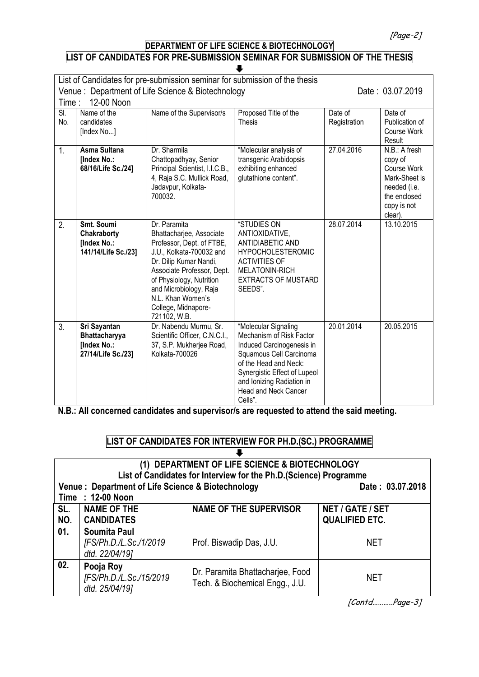[Page-2]

## **DEPARTMENT OF LIFE SCIENCE & BIOTECHNOLOGY LIST OF CANDIDATES FOR PRE-SUBMISSION SEMINAR FOR SUBMISSION OF THE THESIS**

| List of Candidates for pre-submission seminar for submission of the thesis<br>Venue: Department of Life Science & Biotechnology<br>12-00 Noon<br>Time: |                                                                    |                                                                                                                                                                                                                                                                             | Date: 03.07.2019                                                                                                                                                                                                                         |                         |                                                                                                                    |
|--------------------------------------------------------------------------------------------------------------------------------------------------------|--------------------------------------------------------------------|-----------------------------------------------------------------------------------------------------------------------------------------------------------------------------------------------------------------------------------------------------------------------------|------------------------------------------------------------------------------------------------------------------------------------------------------------------------------------------------------------------------------------------|-------------------------|--------------------------------------------------------------------------------------------------------------------|
| SI.<br>No.                                                                                                                                             | Name of the<br>candidates<br>[Index No]                            | Name of the Supervisor/s                                                                                                                                                                                                                                                    | Proposed Title of the<br><b>Thesis</b>                                                                                                                                                                                                   | Date of<br>Registration | Date of<br>Publication of<br>Course Work<br>Result                                                                 |
| 1.                                                                                                                                                     | Asma Sultana<br><b>[Index No.:</b><br>68/16/Life Sc./24]           | Dr. Sharmila<br>Chattopadhyay, Senior<br>Principal Scientist, I.I.C.B.,<br>4, Raja S.C. Mullick Road,<br>Jadavpur, Kolkata-<br>700032                                                                                                                                       | "Molecular analysis of<br>transgenic Arabidopsis<br>exhibiting enhanced<br>glutathione content".                                                                                                                                         | 27.04.2016              | N.B.: A fresh<br>copy of<br>Course Work<br>Mark-Sheet is<br>needed (i.e.<br>the enclosed<br>copy is not<br>clear). |
| 2.                                                                                                                                                     | Smt. Soumi<br>Chakraborty<br>[Index No.:<br>141/14/Life Sc./23]    | Dr. Paramita<br>Bhattacharjee, Associate<br>Professor, Dept. of FTBE,<br>J.U., Kolkata-700032 and<br>Dr. Dilip Kumar Nandi,<br>Associate Professor, Dept.<br>of Physiology, Nutrition<br>and Microbiology, Raja<br>N.L. Khan Women's<br>College, Midnapore-<br>721102, W.B. | "STUDIES ON<br>ANTIOXIDATIVE,<br>ANTIDIABETIC AND<br><b>HYPOCHOLESTEROMIC</b><br><b>ACTIVITIES OF</b><br>MELATONIN-RICH<br><b>EXTRACTS OF MUSTARD</b><br>SEEDS".                                                                         | 28.07.2014              | 13.10.2015                                                                                                         |
| 3.                                                                                                                                                     | Sri Sayantan<br>Bhattacharyya<br>[Index No.:<br>27/14/Life Sc./23] | Dr. Nabendu Murmu, Sr.<br>Scientific Officer, C.N.C.I.,<br>37, S.P. Mukherjee Road,<br>Kolkata-700026                                                                                                                                                                       | "Molecular Signaling<br>Mechanism of Risk Factor<br>Induced Carcinogenesis in<br>Squamous Cell Carcinoma<br>of the Head and Neck:<br>Synergistic Effect of Lupeol<br>and Ionizing Radiation in<br><b>Head and Neck Cancer</b><br>Cells". | 20.01.2014              | 20.05.2015                                                                                                         |

**N.B.: All concerned candidates and supervisor/s are requested to attend the said meeting.**

#### **LIST OF CANDIDATES FOR INTERVIEW FOR PH.D.(SC.) PROGRAMME** L

#### **(1) DEPARTMENT OF LIFE SCIENCE & BIOTECHNOLOGY List of Candidates for Interview for the Ph.D.(Science) Programme** Venue : Department of Life Science & Biotechnology **Date : 03.07.2018 Time : 12-00 Noon SL. NO. NAME OF THE CANDIDATES NAME OF THE SUPERVISOR | NET / GATE / SET QUALIFIED ETC. 01. Soumita Paul** *[FS/Ph.D./L.Sc./1/2019 dtd. 22/04/19]* Prof. Biswadip Das, J.U. | NET **02. Pooja Roy** *[FS/Ph.D./L.Sc./15/2019 dtd. 25/04/19]* Dr. Paramita Bhattacharjee, Food Dr. Farannia Briattacharjee, 1 000<br>Tech. & Biochemical Engg., J.U.

[Contd………..Page-3]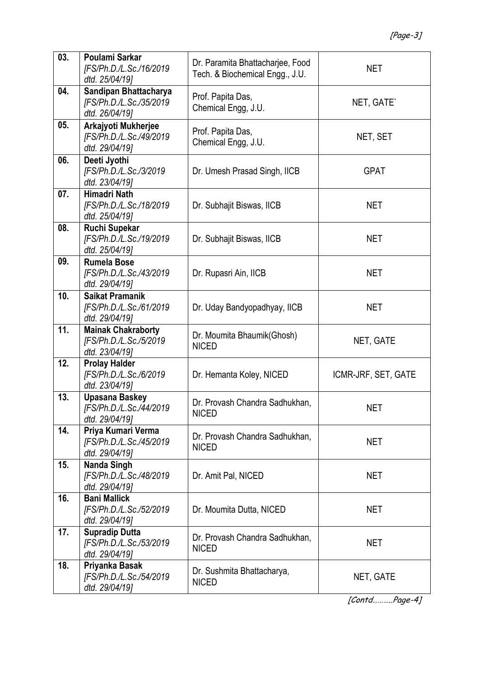| 03. | Poulami Sarkar<br>[FS/Ph.D./L.Sc./16/2019<br>dtd. 25/04/19]           | Dr. Paramita Bhattacharjee, Food<br>Tech. & Biochemical Engg., J.U. | <b>NET</b>          |
|-----|-----------------------------------------------------------------------|---------------------------------------------------------------------|---------------------|
| 04. | Sandipan Bhattacharya<br>[FS/Ph.D./L.Sc./35/2019<br>dtd. 26/04/19]    | Prof. Papita Das,<br>Chemical Engg, J.U.                            | NET, GATE`          |
| 05. | Arkajyoti Mukherjee<br>[FS/Ph.D./L.Sc./49/2019<br>dtd. 29/04/19]      | Prof. Papita Das,<br>Chemical Engg, J.U.                            | NET, SET            |
| 06. | Deeti Jyothi<br>[FS/Ph.D./L.Sc./3/2019<br>dtd. 23/04/19]              | Dr. Umesh Prasad Singh, IICB                                        | <b>GPAT</b>         |
| 07. | <b>Himadri Nath</b><br>[FS/Ph.D./L.Sc./18/2019<br>dtd. 25/04/19]      | Dr. Subhajit Biswas, IICB                                           | NET                 |
| 08. | <b>Ruchi Supekar</b><br>[FS/Ph.D./L.Sc./19/2019<br>dtd. 25/04/19]     | Dr. Subhajit Biswas, IICB                                           | <b>NET</b>          |
| 09. | <b>Rumela Bose</b><br>[FS/Ph.D./L.Sc./43/2019<br>dtd. 29/04/19]       | Dr. Rupasri Ain, IICB                                               | <b>NET</b>          |
| 10. | <b>Saikat Pramanik</b><br>[FS/Ph.D./L.Sc./61/2019<br>dtd. 29/04/19]   | Dr. Uday Bandyopadhyay, IICB                                        | <b>NET</b>          |
| 11. | <b>Mainak Chakraborty</b><br>[FS/Ph.D./L.Sc./5/2019<br>dtd. 23/04/19] | Dr. Moumita Bhaumik (Ghosh)<br><b>NICED</b>                         | NET, GATE           |
| 12. | <b>Prolay Halder</b><br>[FS/Ph.D./L.Sc./6/2019<br>dtd. 23/04/19]      | Dr. Hemanta Koley, NICED                                            | ICMR-JRF, SET, GATE |
| 13. | <b>Upasana Baskey</b><br>[FS/Ph.D./L.Sc./44/2019<br>dtd. 29/04/19]    | Dr. Provash Chandra Sadhukhan,<br><b>NICED</b>                      | NET                 |
| 14. | Priya Kumari Verma<br>[FS/Ph.D./L.Sc./45/2019<br>dtd. 29/04/19]       | Dr. Provash Chandra Sadhukhan,<br><b>NICED</b>                      | <b>NET</b>          |
| 15. | <b>Nanda Singh</b><br>[FS/Ph.D./L.Sc./48/2019<br>dtd. 29/04/19]       | Dr. Amit Pal, NICED                                                 | <b>NET</b>          |
| 16. | <b>Bani Mallick</b><br>[FS/Ph.D./L.Sc./52/2019<br>dtd. 29/04/19]      | Dr. Moumita Dutta, NICED                                            | <b>NET</b>          |
| 17. | <b>Supradip Dutta</b><br>[FS/Ph.D./L.Sc./53/2019<br>dtd. 29/04/19]    | Dr. Provash Chandra Sadhukhan,<br><b>NICED</b>                      | <b>NET</b>          |
| 18. | Priyanka Basak<br>[FS/Ph.D./L.Sc./54/2019<br>dtd. 29/04/19]           | Dr. Sushmita Bhattacharya,<br><b>NICED</b>                          | NET, GATE           |

[Contd………..Page-4]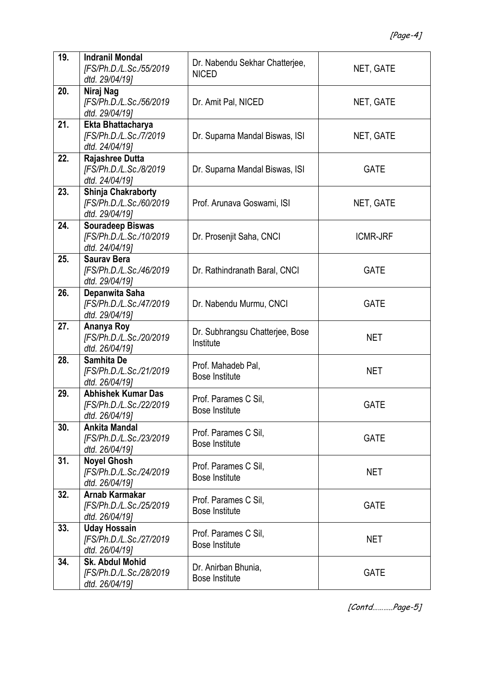| 19. | <b>Indranil Mondal</b><br>[FS/Ph.D./L.Sc./55/2019<br>dtd. 29/04/19]    | Dr. Nabendu Sekhar Chatterjee,<br><b>NICED</b> | NET, GATE       |
|-----|------------------------------------------------------------------------|------------------------------------------------|-----------------|
| 20. | Niraj Nag<br>[FS/Ph.D./L.Sc./56/2019<br>dtd. 29/04/19]                 | Dr. Amit Pal, NICED                            | NET, GATE       |
| 21. | Ekta Bhattacharya<br>[FS/Ph.D./L.Sc./7/2019<br>dtd. 24/04/19]          | Dr. Suparna Mandal Biswas, ISI                 | NET, GATE       |
| 22. | Rajashree Dutta<br>[FS/Ph.D./L.Sc./8/2019<br>dtd. 24/04/19]            | Dr. Suparna Mandal Biswas, ISI                 | <b>GATE</b>     |
| 23. | Shinja Chakraborty<br>[FS/Ph.D./L.Sc./60/2019<br>dtd. 29/04/19]        | Prof. Arunava Goswami, ISI                     | NET, GATE       |
| 24. | <b>Souradeep Biswas</b><br>[FS/Ph.D./L.Sc./10/2019<br>dtd. 24/04/19]   | Dr. Prosenjit Saha, CNCI                       | <b>ICMR-JRF</b> |
| 25. | <b>Saurav Bera</b><br>[FS/Ph.D./L.Sc./46/2019<br>dtd. 29/04/19]        | Dr. Rathindranath Baral, CNCI                  | <b>GATE</b>     |
| 26. | Depanwita Saha<br>[FS/Ph.D./L.Sc./47/2019<br>dtd. 29/04/19]            | Dr. Nabendu Murmu, CNCI                        | <b>GATE</b>     |
| 27. | Ananya Roy<br>[FS/Ph.D./L.Sc./20/2019<br>dtd. 26/04/19]                | Dr. Subhrangsu Chatterjee, Bose<br>Institute   | <b>NET</b>      |
| 28. | Samhita De<br>[FS/Ph.D./L.Sc./21/2019<br>dtd. 26/04/19]                | Prof. Mahadeb Pal,<br><b>Bose Institute</b>    | <b>NET</b>      |
| 29. | <b>Abhishek Kumar Das</b><br>[FS/Ph.D./L.Sc./22/2019<br>dtd. 26/04/19] | Prof. Parames C Sil,<br><b>Bose Institute</b>  | <b>GATE</b>     |
| 30. | <b>Ankita Mandal</b><br>[FS/Ph.D./L.Sc./23/2019<br>dtd. 26/04/19]      | Prof. Parames C Sil,<br><b>Bose Institute</b>  | <b>GATE</b>     |
| 31. | <b>Noyel Ghosh</b><br>[FS/Ph.D./L.Sc./24/2019<br>dtd. 26/04/19]        | Prof. Parames C Sil,<br><b>Bose Institute</b>  | <b>NET</b>      |
| 32. | Arnab Karmakar<br>[FS/Ph.D./L.Sc./25/2019<br>dtd. 26/04/19]            | Prof. Parames C Sil,<br><b>Bose Institute</b>  | <b>GATE</b>     |
| 33. | <b>Uday Hossain</b><br>[FS/Ph.D./L.Sc./27/2019<br>dtd. 26/04/19]       | Prof. Parames C Sil,<br><b>Bose Institute</b>  | <b>NET</b>      |
| 34. | <b>Sk. Abdul Mohid</b><br>[FS/Ph.D./L.Sc./28/2019<br>dtd. 26/04/19]    | Dr. Anirban Bhunia,<br><b>Bose Institute</b>   | <b>GATE</b>     |

[Contd………..Page-5]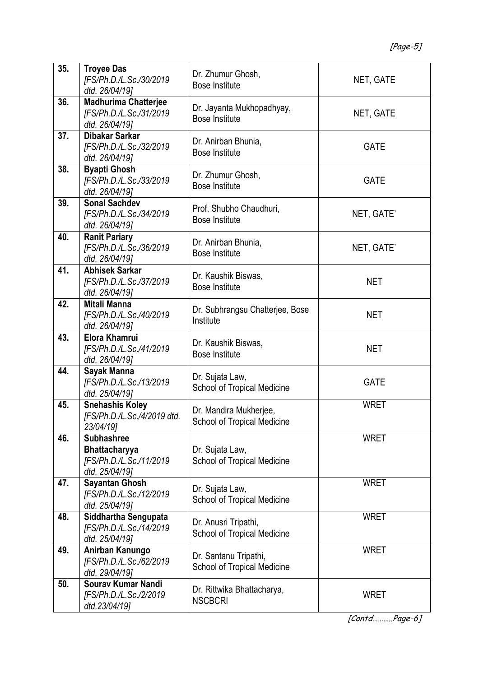| 35. | <b>Troyee Das</b><br>[FS/Ph.D./L.Sc./30/2019<br>dtd. 26/04/19]                  | Dr. Zhumur Ghosh,<br><b>Bose Institute</b>                   | NET, GATE   |
|-----|---------------------------------------------------------------------------------|--------------------------------------------------------------|-------------|
| 36. | <b>Madhurima Chatterjee</b><br>[FS/Ph.D./L.Sc./31/2019<br>dtd. 26/04/19]        | Dr. Jayanta Mukhopadhyay,<br><b>Bose Institute</b>           | NET, GATE   |
| 37. | Dibakar Sarkar<br>[FS/Ph.D./L.Sc./32/2019<br>dtd. 26/04/19]                     | Dr. Anirban Bhunia,<br><b>Bose Institute</b>                 | <b>GATE</b> |
| 38. | <b>Byapti Ghosh</b><br>[FS/Ph.D./L.Sc./33/2019<br>dtd. 26/04/19]                | Dr. Zhumur Ghosh,<br><b>Bose Institute</b>                   | <b>GATE</b> |
| 39. | <b>Sonal Sachdev</b><br>[FS/Ph.D./L.Sc./34/2019<br>dtd. 26/04/191               | Prof. Shubho Chaudhuri,<br><b>Bose Institute</b>             | NET, GATE`  |
| 40. | <b>Ranit Pariary</b><br>[FS/Ph.D./L.Sc./36/2019<br>dtd. 26/04/19]               | Dr. Anirban Bhunia,<br><b>Bose Institute</b>                 | NET, GATE`  |
| 41. | <b>Abhisek Sarkar</b><br>[FS/Ph.D./L.Sc./37/2019<br>dtd. 26/04/19]              | Dr. Kaushik Biswas,<br><b>Bose Institute</b>                 | <b>NET</b>  |
| 42. | Mitali Manna<br>[FS/Ph.D./L.Sc./40/2019<br>dtd. 26/04/19]                       | Dr. Subhrangsu Chatterjee, Bose<br>Institute                 | <b>NET</b>  |
| 43. | <b>Elora Khamrui</b><br>[FS/Ph.D./L.Sc./41/2019<br>dtd. 26/04/19]               | Dr. Kaushik Biswas,<br><b>Bose Institute</b>                 | <b>NET</b>  |
| 44. | Sayak Manna<br>[FS/Ph.D./L.Sc./13/2019<br>dtd. 25/04/19]                        | Dr. Sujata Law,<br><b>School of Tropical Medicine</b>        | <b>GATE</b> |
| 45. | <b>Snehashis Koley</b><br>[FS/Ph.D./L.Sc./4/2019 dtd.<br>23/04/19]              | Dr. Mandira Mukherjee,<br><b>School of Tropical Medicine</b> | <b>WRET</b> |
| 46. | <b>Subhashree</b><br>Bhattacharyya<br>[FS/Ph.D./L.Sc./11/2019<br>dtd. 25/04/19] | Dr. Sujata Law,<br><b>School of Tropical Medicine</b>        | <b>WRET</b> |
| 47. | <b>Sayantan Ghosh</b><br>[FS/Ph.D./L.Sc./12/2019<br>dtd. 25/04/19]              | Dr. Sujata Law,<br><b>School of Tropical Medicine</b>        | <b>WRET</b> |
| 48. | Siddhartha Sengupata<br>[FS/Ph.D./L.Sc./14/2019<br>dtd. 25/04/19]               | Dr. Anusri Tripathi,<br><b>School of Tropical Medicine</b>   | <b>WRET</b> |
| 49. | Anirban Kanungo<br>[FS/Ph.D./L.Sc./62/2019<br>dtd. 29/04/19]                    | Dr. Santanu Tripathi,<br>School of Tropical Medicine         | <b>WRET</b> |
| 50. | Sourav Kumar Nandi<br>[FS/Ph.D./L.Sc./2/2019<br>dtd.23/04/19]                   | Dr. Rittwika Bhattacharya,<br><b>NSCBCRI</b>                 | <b>WRET</b> |

[Contd………..Page-6]